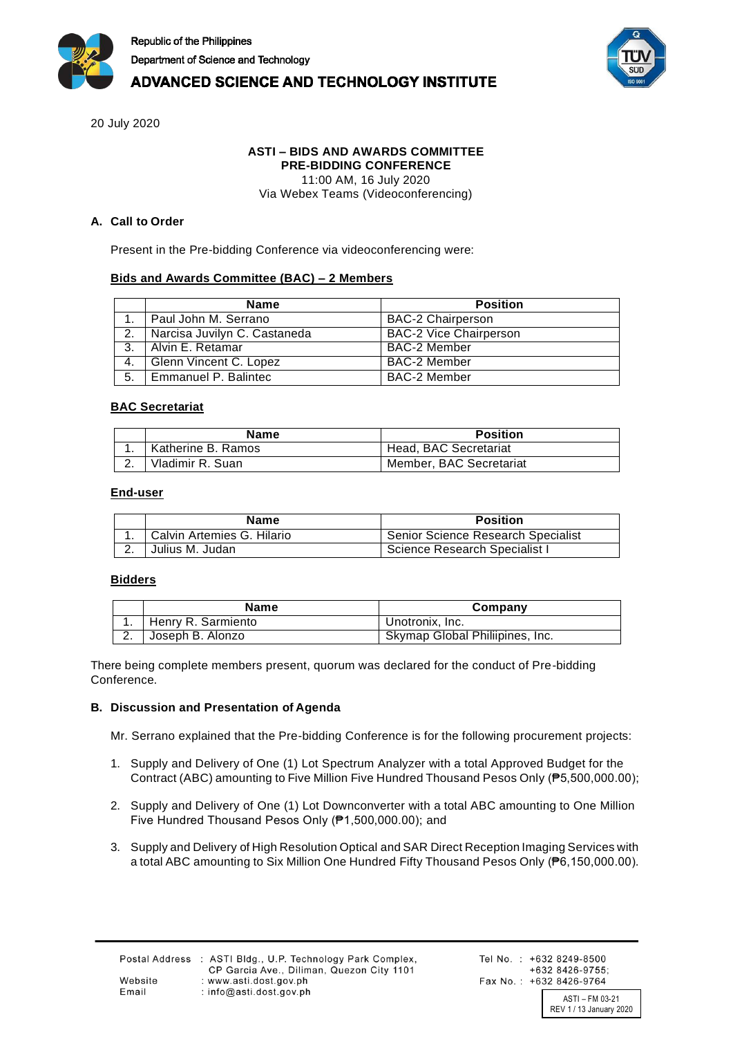



# **ADVANCED SCIENCE AND TECHNOLOGY INSTITUTE**

20 July 2020

# **ASTI – BIDS AND AWARDS COMMITTEE**

**PRE-BIDDING CONFERENCE** 11:00 AM, 16 July 2020

Via Webex Teams (Videoconferencing)

## **A. Call to Order**

Present in the Pre-bidding Conference via videoconferencing were:

# **Bids and Awards Committee (BAC) – 2 Members**

|    | <b>Name</b>                  | <b>Position</b>               |
|----|------------------------------|-------------------------------|
|    | Paul John M. Serrano         | <b>BAC-2 Chairperson</b>      |
| 2. | Narcisa Juvilyn C. Castaneda | <b>BAC-2 Vice Chairperson</b> |
| 3. | l Alvin E. Retamar           | <b>BAC-2 Member</b>           |
| 4. | Glenn Vincent C. Lopez       | <b>BAC-2 Member</b>           |
| 5. | Emmanuel P. Balintec         | BAC-2 Member                  |

#### **BAC Secretariat**

| <b>Name</b>        | <b>Position</b>         |
|--------------------|-------------------------|
| Katherine B. Ramos | Head, BAC Secretariat   |
| Vladimir R. Suan   | Member, BAC Secretariat |

#### **End-user**

|    | <b>Name</b>                | <b>Position</b>                    |
|----|----------------------------|------------------------------------|
|    | Calvin Artemies G. Hilario | Senior Science Research Specialist |
| Z. | Julius M. Judan            | Science Research Specialist I      |

#### **Bidders**

| Name               | Company                         |
|--------------------|---------------------------------|
| Henry R. Sarmiento | Unotronix. Inc.                 |
| Joseph B. Alonzo   | Skymap Global Philiipines, Inc. |

There being complete members present, quorum was declared for the conduct of Pre-bidding Conference.

# **B. Discussion and Presentation of Agenda**

Mr. Serrano explained that the Pre-bidding Conference is for the following procurement projects:

- 1. Supply and Delivery of One (1) Lot Spectrum Analyzer with a total Approved Budget for the Contract (ABC) amounting to Five Million Five Hundred Thousand Pesos Only (₱5,500,000.00);
- 2. Supply and Delivery of One (1) Lot Downconverter with a total ABC amounting to One Million Five Hundred Thousand Pesos Only (₱1,500,000.00); and
- 3. Supply and Delivery of High Resolution Optical and SAR Direct Reception Imaging Services with a total ABC amounting to Six Million One Hundred Fifty Thousand Pesos Only (₱6,150,000.00).

REV 1 / 13 January 2020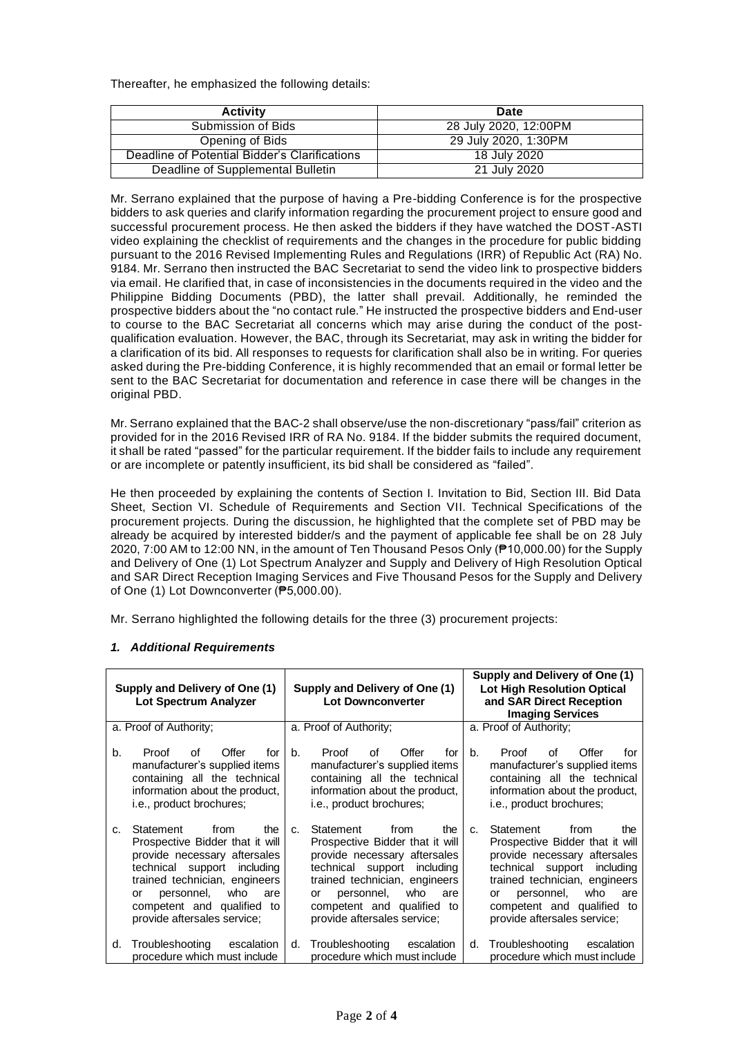Thereafter, he emphasized the following details:

| <b>Activity</b>                               | Date                  |
|-----------------------------------------------|-----------------------|
| Submission of Bids                            | 28 July 2020, 12:00PM |
| Opening of Bids                               | 29 July 2020, 1:30PM  |
| Deadline of Potential Bidder's Clarifications | 18 July 2020          |
| Deadline of Supplemental Bulletin             | 21 July 2020          |

Mr. Serrano explained that the purpose of having a Pre-bidding Conference is for the prospective bidders to ask queries and clarify information regarding the procurement project to ensure good and successful procurement process. He then asked the bidders if they have watched the DOST-ASTI video explaining the checklist of requirements and the changes in the procedure for public bidding pursuant to the 2016 Revised Implementing Rules and Regulations (IRR) of Republic Act (RA) No. 9184. Mr. Serrano then instructed the BAC Secretariat to send the video link to prospective bidders via email. He clarified that, in case of inconsistencies in the documents required in the video and the Philippine Bidding Documents (PBD), the latter shall prevail. Additionally, he reminded the prospective bidders about the "no contact rule." He instructed the prospective bidders and End-user to course to the BAC Secretariat all concerns which may arise during the conduct of the postqualification evaluation. However, the BAC, through its Secretariat, may ask in writing the bidder for a clarification of its bid. All responses to requests for clarification shall also be in writing. For queries asked during the Pre-bidding Conference, it is highly recommended that an email or formal letter be sent to the BAC Secretariat for documentation and reference in case there will be changes in the original PBD.

Mr. Serrano explained that the BAC-2 shall observe/use the non-discretionary "pass/fail" criterion as provided for in the 2016 Revised IRR of RA No. 9184. If the bidder submits the required document, it shall be rated "passed" for the particular requirement. If the bidder fails to include any requirement or are incomplete or patently insufficient, its bid shall be considered as "failed".

He then proceeded by explaining the contents of Section I. Invitation to Bid, Section III. Bid Data Sheet, Section VI. Schedule of Requirements and Section VII. Technical Specifications of the procurement projects. During the discussion, he highlighted that the complete set of PBD may be already be acquired by interested bidder/s and the payment of applicable fee shall be on 28 July 2020, 7:00 AM to 12:00 NN, in the amount of Ten Thousand Pesos Only (₱10,000.00) for the Supply and Delivery of One (1) Lot Spectrum Analyzer and Supply and Delivery of High Resolution Optical and SAR Direct Reception Imaging Services and Five Thousand Pesos for the Supply and Delivery of One (1) Lot Downconverter (₱5,000.00).

Mr. Serrano highlighted the following details for the three (3) procurement projects:

# *1. Additional Requirements*

| Supply and Delivery of One (1)<br>Lot Spectrum Analyzer | Supply and Delivery of One (1)<br><b>Lot Downconverter</b> | Supply and Delivery of One (1)<br><b>Lot High Resolution Optical</b><br>and SAR Direct Reception<br><b>Imaging Services</b> |  |
|---------------------------------------------------------|------------------------------------------------------------|-----------------------------------------------------------------------------------------------------------------------------|--|
| a. Proof of Authority;                                  | a. Proof of Authority;                                     | a. Proof of Authority;                                                                                                      |  |
| b.                                                      | Offer                                                      | Offer                                                                                                                       |  |
| Proof                                                   | $h_{-}$                                                    | Proof                                                                                                                       |  |
| Offer                                                   | Proof                                                      | b.                                                                                                                          |  |
| Ωf                                                      | Ωf                                                         | nf.                                                                                                                         |  |
| for l                                                   | for                                                        | for                                                                                                                         |  |
| manufacturer's supplied items                           | manufacturer's supplied items                              | manufacturer's supplied items                                                                                               |  |
| containing all the technical                            | containing all the technical                               | containing all the technical                                                                                                |  |
| information about the product,                          | information about the product,                             | information about the product,                                                                                              |  |
| i.e., product brochures;                                | i.e., product brochures;                                   | i.e., product brochures;                                                                                                    |  |
| Statement                                               | Statement                                                  | Statement                                                                                                                   |  |
| from                                                    | from                                                       | from                                                                                                                        |  |
| the I                                                   | the                                                        | the                                                                                                                         |  |
| C.                                                      | C <sub>1</sub>                                             | $\mathbf{C}$                                                                                                                |  |
| Prospective Bidder that it will                         | Prospective Bidder that it will                            | Prospective Bidder that it will                                                                                             |  |
| provide necessary aftersales                            | provide necessary aftersales                               | provide necessary aftersales                                                                                                |  |
| technical support including                             | technical support including                                | technical support including                                                                                                 |  |
| trained technician, engineers                           | trained technician, engineers                              | trained technician, engineers                                                                                               |  |
| who                                                     | who                                                        | who                                                                                                                         |  |
| personnel,                                              | personnel,                                                 | personnel,                                                                                                                  |  |
| are                                                     | are                                                        | are                                                                                                                         |  |
| or                                                      | or                                                         | or                                                                                                                          |  |
| competent and qualified to                              | competent and qualified to                                 | competent and qualified to                                                                                                  |  |
| provide aftersales service;                             | provide aftersales service;                                | provide aftersales service;                                                                                                 |  |
| Troubleshooting                                         | Troubleshooting                                            | Troubleshooting                                                                                                             |  |
| escalation                                              | escalation                                                 | escalation                                                                                                                  |  |
| d.                                                      | d.                                                         | d.                                                                                                                          |  |
| procedure which must include                            | procedure which must include                               | procedure which must include                                                                                                |  |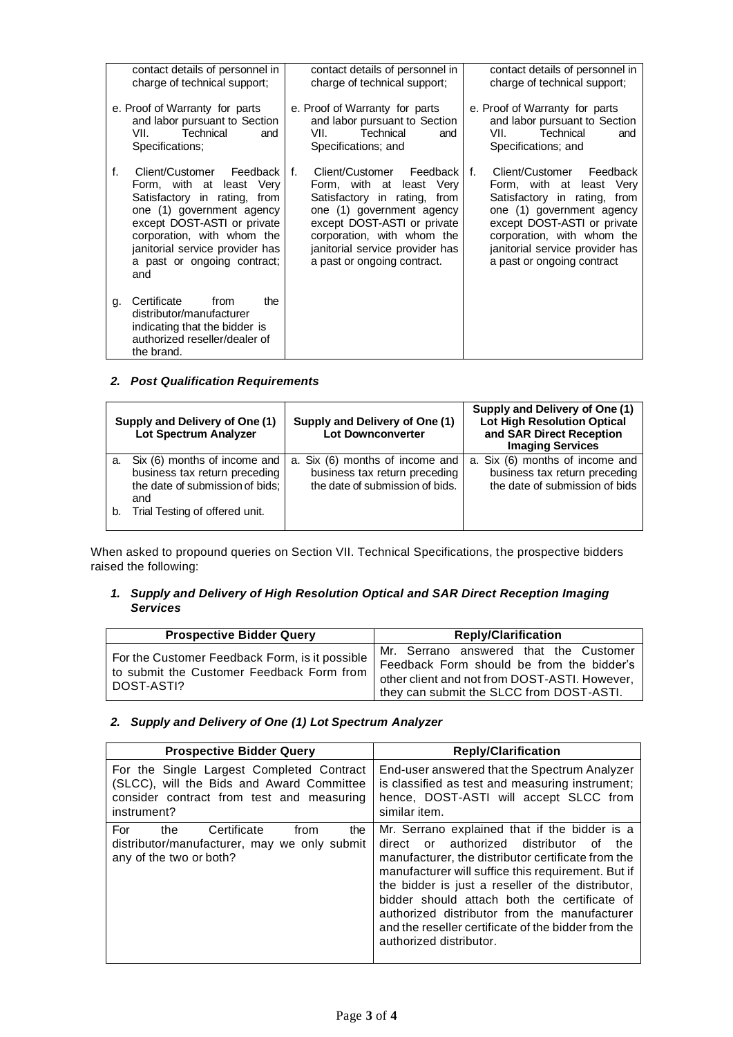| contact details of personnel in<br>charge of technical support;                                                  |                                                                                                                                                                                                                                                         | contact details of personnel in<br>charge of technical support;                                                   |                                                                                                                                                                                                                                                       | contact details of personnel in<br>charge of technical support; |                                                                                                                                                                                                                                                 |
|------------------------------------------------------------------------------------------------------------------|---------------------------------------------------------------------------------------------------------------------------------------------------------------------------------------------------------------------------------------------------------|-------------------------------------------------------------------------------------------------------------------|-------------------------------------------------------------------------------------------------------------------------------------------------------------------------------------------------------------------------------------------------------|-----------------------------------------------------------------|-------------------------------------------------------------------------------------------------------------------------------------------------------------------------------------------------------------------------------------------------|
| e. Proof of Warranty for parts<br>and labor pursuant to Section<br>Technical<br>VII. L<br>and<br>Specifications: |                                                                                                                                                                                                                                                         | e. Proof of Warranty for parts<br>and labor pursuant to Section<br>VIL<br>Technical<br>and<br>Specifications; and |                                                                                                                                                                                                                                                       |                                                                 | e. Proof of Warranty for parts<br>and labor pursuant to Section<br>Technical<br>VII.<br>and<br>Specifications; and                                                                                                                              |
| f.                                                                                                               | Client/Customer Feedback<br>Form, with at least Very<br>Satisfactory in rating, from<br>one (1) government agency<br>except DOST-ASTI or private<br>corporation, with whom the<br>janitorial service provider has<br>a past or ongoing contract;<br>and | $f_{\cdot}$                                                                                                       | Client/Customer Feedback I f.<br>Form, with at least Very<br>Satisfactory in rating, from<br>one (1) government agency<br>except DOST-ASTI or private<br>corporation, with whom the<br>janitorial service provider has<br>a past or ongoing contract. |                                                                 | Client/Customer Feedback<br>Form, with at least Very<br>Satisfactory in rating, from<br>one (1) government agency<br>except DOST-ASTI or private<br>corporation, with whom the<br>janitorial service provider has<br>a past or ongoing contract |
| g.                                                                                                               | Certificate<br>from<br>the<br>distributor/manufacturer<br>indicating that the bidder is<br>authorized reseller/dealer of<br>the brand.                                                                                                                  |                                                                                                                   |                                                                                                                                                                                                                                                       |                                                                 |                                                                                                                                                                                                                                                 |

# *2. Post Qualification Requirements*

|    | Supply and Delivery of One (1)<br>Lot Spectrum Analyzer                                                 | Supply and Delivery of One (1)<br><b>Lot Downconverter</b>                                          | Supply and Delivery of One (1)<br><b>Lot High Resolution Optical</b><br>and SAR Direct Reception<br><b>Imaging Services</b> |
|----|---------------------------------------------------------------------------------------------------------|-----------------------------------------------------------------------------------------------------|-----------------------------------------------------------------------------------------------------------------------------|
| а. | Six (6) months of income and<br>business tax return preceding<br>the date of submission of bids;<br>and | a. Six (6) months of income and<br>business tax return preceding<br>the date of submission of bids. | a. Six (6) months of income and<br>business tax return preceding<br>the date of submission of bids                          |
| b. | Trial Testing of offered unit.                                                                          |                                                                                                     |                                                                                                                             |

When asked to propound queries on Section VII. Technical Specifications, the prospective bidders raised the following:

### *1. Supply and Delivery of High Resolution Optical and SAR Direct Reception Imaging Services*

| <b>Prospective Bidder Query</b>                                                                           | <b>Reply/Clarification</b>                                                                                                                                                       |  |  |
|-----------------------------------------------------------------------------------------------------------|----------------------------------------------------------------------------------------------------------------------------------------------------------------------------------|--|--|
| For the Customer Feedback Form, is it possible<br>to submit the Customer Feedback Form from<br>DOST-ASTI? | Mr. Serrano answered that the Customer<br>Feedback Form should be from the bidder's<br>other client and not from DOST-ASTI. However,<br>they can submit the SLCC from DOST-ASTI. |  |  |

# *2. Supply and Delivery of One (1) Lot Spectrum Analyzer*

| <b>Prospective Bidder Query</b>                                                                                                                    | <b>Reply/Clarification</b>                                                                                                                                                                                                                                                                                                                                                                                                                        |  |
|----------------------------------------------------------------------------------------------------------------------------------------------------|---------------------------------------------------------------------------------------------------------------------------------------------------------------------------------------------------------------------------------------------------------------------------------------------------------------------------------------------------------------------------------------------------------------------------------------------------|--|
| For the Single Largest Completed Contract<br>(SLCC), will the Bids and Award Committee<br>consider contract from test and measuring<br>instrument? | End-user answered that the Spectrum Analyzer<br>is classified as test and measuring instrument;<br>hence, DOST-ASTI will accept SLCC from<br>similar item.                                                                                                                                                                                                                                                                                        |  |
| For<br>Certificate<br>from<br>the<br>the<br>distributor/manufacturer, may we only submit<br>any of the two or both?                                | Mr. Serrano explained that if the bidder is a<br>or authorized distributor of<br>direct<br>the<br>manufacturer, the distributor certificate from the<br>manufacturer will suffice this requirement. But if<br>the bidder is just a reseller of the distributor,<br>bidder should attach both the certificate of<br>authorized distributor from the manufacturer<br>and the reseller certificate of the bidder from the<br>authorized distributor. |  |